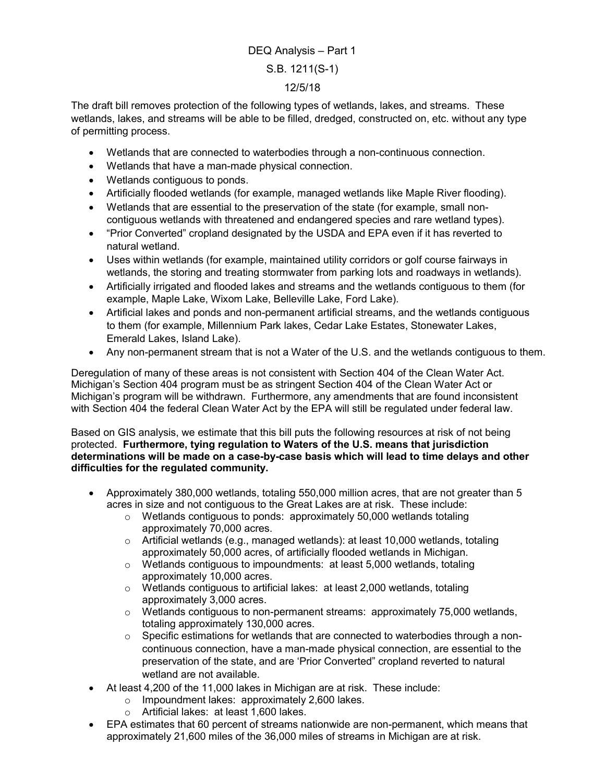## DEQ Analysis – Part 1 S.B. 1211(S-1) 12/5/18

The draft bill removes protection of the following types of wetlands, lakes, and streams. These wetlands, lakes, and streams will be able to be filled, dredged, constructed on, etc. without any type of permitting process.

- Wetlands that are connected to waterbodies through a non-continuous connection.
- Wetlands that have a man-made physical connection.
- Wetlands contiguous to ponds.
- Artificially flooded wetlands (for example, managed wetlands like Maple River flooding).
- Wetlands that are essential to the preservation of the state (for example, small noncontiguous wetlands with threatened and endangered species and rare wetland types).
- "Prior Converted" cropland designated by the USDA and EPA even if it has reverted to natural wetland.
- Uses within wetlands (for example, maintained utility corridors or golf course fairways in wetlands, the storing and treating stormwater from parking lots and roadways in wetlands).
- Artificially irrigated and flooded lakes and streams and the wetlands contiguous to them (for example, Maple Lake, Wixom Lake, Belleville Lake, Ford Lake).
- Artificial lakes and ponds and non-permanent artificial streams, and the wetlands contiguous to them (for example, Millennium Park lakes, Cedar Lake Estates, Stonewater Lakes, Emerald Lakes, Island Lake).
- Any non-permanent stream that is not a Water of the U.S. and the wetlands contiguous to them.

Deregulation of many of these areas is not consistent with Section 404 of the Clean Water Act. Michigan's Section 404 program must be as stringent Section 404 of the Clean Water Act or Michigan's program will be withdrawn. Furthermore, any amendments that are found inconsistent with Section 404 the federal Clean Water Act by the EPA will still be regulated under federal law.

Based on GIS analysis, we estimate that this bill puts the following resources at risk of not being protected. Furthermore, tying regulation to Waters of the U.S. means that jurisdiction determinations will be made on a case-by-case basis which will lead to time delays and other difficulties for the regulated community.

- Approximately 380,000 wetlands, totaling 550,000 million acres, that are not greater than 5 acres in size and not contiguous to the Great Lakes are at risk. These include:
	- o Wetlands contiguous to ponds: approximately 50,000 wetlands totaling approximately 70,000 acres.
	- $\circ$  Artificial wetlands (e.g., managed wetlands): at least 10,000 wetlands, totaling approximately 50,000 acres, of artificially flooded wetlands in Michigan.
	- o Wetlands contiguous to impoundments: at least 5,000 wetlands, totaling approximately 10,000 acres.
	- o Wetlands contiguous to artificial lakes: at least 2,000 wetlands, totaling approximately 3,000 acres.
	- $\circ$  Wetlands contiguous to non-permanent streams: approximately 75,000 wetlands, totaling approximately 130,000 acres.
	- $\circ$  Specific estimations for wetlands that are connected to waterbodies through a noncontinuous connection, have a man-made physical connection, are essential to the preservation of the state, and are 'Prior Converted" cropland reverted to natural wetland are not available.
- At least 4,200 of the 11,000 lakes in Michigan are at risk. These include:
	- o Impoundment lakes: approximately 2,600 lakes.
	- o Artificial lakes: at least 1,600 lakes.
- EPA estimates that 60 percent of streams nationwide are non-permanent, which means that approximately 21,600 miles of the 36,000 miles of streams in Michigan are at risk.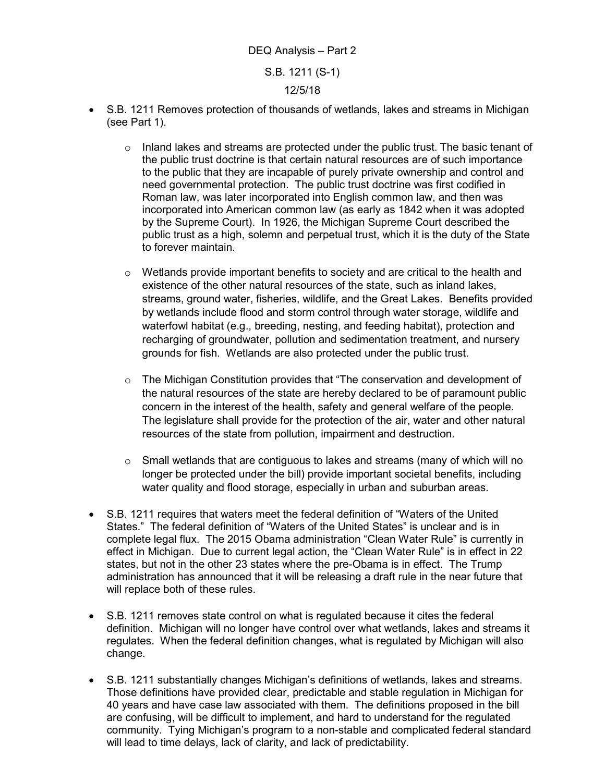## DEQ Analysis – Part 2 S.B. 1211 (S-1) 12/5/18

- S.B. 1211 Removes protection of thousands of wetlands, lakes and streams in Michigan (see Part 1).
	- $\circ$  Inland lakes and streams are protected under the public trust. The basic tenant of the public trust doctrine is that certain natural resources are of such importance to the public that they are incapable of purely private ownership and control and need governmental protection. The public trust doctrine was first codified in Roman law, was later incorporated into English common law, and then was incorporated into American common law (as early as 1842 when it was adopted by the Supreme Court). In 1926, the Michigan Supreme Court described the public trust as a high, solemn and perpetual trust, which it is the duty of the State to forever maintain.
	- o Wetlands provide important benefits to society and are critical to the health and existence of the other natural resources of the state, such as inland lakes, streams, ground water, fisheries, wildlife, and the Great Lakes. Benefits provided by wetlands include flood and storm control through water storage, wildlife and waterfowl habitat (e.g., breeding, nesting, and feeding habitat), protection and recharging of groundwater, pollution and sedimentation treatment, and nursery grounds for fish. Wetlands are also protected under the public trust.
	- $\circ$  The Michigan Constitution provides that "The conservation and development of the natural resources of the state are hereby declared to be of paramount public concern in the interest of the health, safety and general welfare of the people. The legislature shall provide for the protection of the air, water and other natural resources of the state from pollution, impairment and destruction.
	- $\circ$  Small wetlands that are contiguous to lakes and streams (many of which will no longer be protected under the bill) provide important societal benefits, including water quality and flood storage, especially in urban and suburban areas.
- S.B. 1211 requires that waters meet the federal definition of "Waters of the United States." The federal definition of "Waters of the United States" is unclear and is in complete legal flux. The 2015 Obama administration "Clean Water Rule" is currently in effect in Michigan. Due to current legal action, the "Clean Water Rule" is in effect in 22 states, but not in the other 23 states where the pre-Obama is in effect. The Trump administration has announced that it will be releasing a draft rule in the near future that will replace both of these rules.
- S.B. 1211 removes state control on what is regulated because it cites the federal definition. Michigan will no longer have control over what wetlands, lakes and streams it regulates. When the federal definition changes, what is regulated by Michigan will also change.
- S.B. 1211 substantially changes Michigan's definitions of wetlands, lakes and streams. Those definitions have provided clear, predictable and stable regulation in Michigan for 40 years and have case law associated with them. The definitions proposed in the bill are confusing, will be difficult to implement, and hard to understand for the regulated community. Tying Michigan's program to a non-stable and complicated federal standard will lead to time delays, lack of clarity, and lack of predictability.